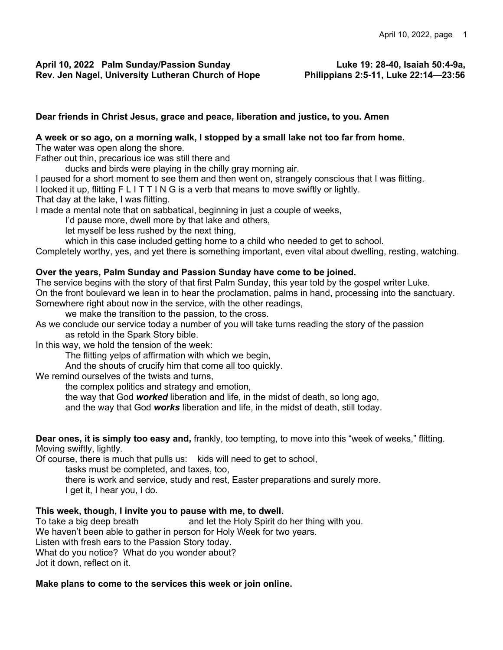## **Dear friends in Christ Jesus, grace and peace, liberation and justice, to you. Amen**

# **A week or so ago, on a morning walk, I stopped by a small lake not too far from home.**

The water was open along the shore.

Father out thin, precarious ice was still there and

ducks and birds were playing in the chilly gray morning air.

I paused for a short moment to see them and then went on, strangely conscious that I was flitting.

I looked it up, flitting F L I T T I N G is a verb that means to move swiftly or lightly.

That day at the lake, I was flitting.

I made a mental note that on sabbatical, beginning in just a couple of weeks,

I'd pause more, dwell more by that lake and others,

let myself be less rushed by the next thing,

which in this case included getting home to a child who needed to get to school.

Completely worthy, yes, and yet there is something important, even vital about dwelling, resting, watching.

#### **Over the years, Palm Sunday and Passion Sunday have come to be joined.**

The service begins with the story of that first Palm Sunday, this year told by the gospel writer Luke. On the front boulevard we lean in to hear the proclamation, palms in hand, processing into the sanctuary. Somewhere right about now in the service, with the other readings,

we make the transition to the passion, to the cross.

As we conclude our service today a number of you will take turns reading the story of the passion as retold in the Spark Story bible.

In this way, we hold the tension of the week:

The flitting yelps of affirmation with which we begin,

And the shouts of crucify him that come all too quickly.

We remind ourselves of the twists and turns,

the complex politics and strategy and emotion,

the way that God *worked* liberation and life, in the midst of death, so long ago,

and the way that God *works* liberation and life, in the midst of death, still today.

**Dear ones, it is simply too easy and,** frankly, too tempting, to move into this "week of weeks," flitting. Moving swiftly, lightly.

Of course, there is much that pulls us: kids will need to get to school,

tasks must be completed, and taxes, too,

there is work and service, study and rest, Easter preparations and surely more. I get it, I hear you, I do.

#### **This week, though, I invite you to pause with me, to dwell.**

To take a big deep breath and let the Holy Spirit do her thing with you. We haven't been able to gather in person for Holy Week for two years. Listen with fresh ears to the Passion Story today. What do you notice? What do you wonder about? Jot it down, reflect on it.

#### **Make plans to come to the services this week or join online.**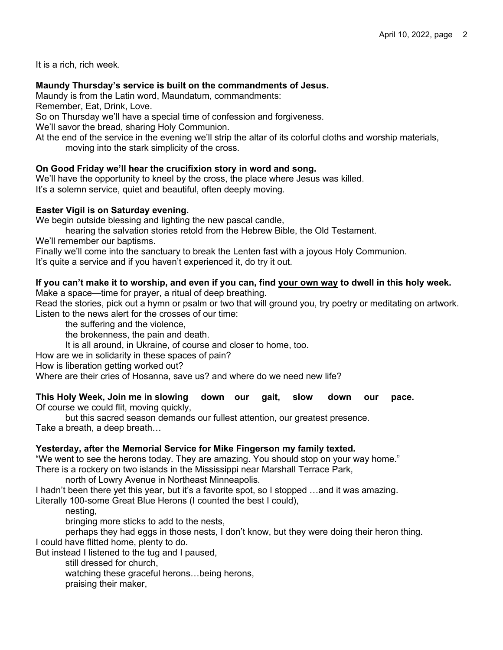It is a rich, rich week.

## **Maundy Thursday's service is built on the commandments of Jesus.**

Maundy is from the Latin word, Maundatum, commandments:

Remember, Eat, Drink, Love.

So on Thursday we'll have a special time of confession and forgiveness.

We'll savor the bread, sharing Holy Communion.

At the end of the service in the evening we'll strip the altar of its colorful cloths and worship materials, moving into the stark simplicity of the cross.

## **On Good Friday we'll hear the crucifixion story in word and song.**

We'll have the opportunity to kneel by the cross, the place where Jesus was killed. It's a solemn service, quiet and beautiful, often deeply moving.

## **Easter Vigil is on Saturday evening.**

We begin outside blessing and lighting the new pascal candle,

hearing the salvation stories retold from the Hebrew Bible, the Old Testament.

We'll remember our baptisms.

Finally we'll come into the sanctuary to break the Lenten fast with a joyous Holy Communion.

It's quite a service and if you haven't experienced it, do try it out.

## **If you can't make it to worship, and even if you can, find your own way to dwell in this holy week.**

Make a space—time for prayer, a ritual of deep breathing.

Read the stories, pick out a hymn or psalm or two that will ground you, try poetry or meditating on artwork. Listen to the news alert for the crosses of our time:

the suffering and the violence,

the brokenness, the pain and death.

It is all around, in Ukraine, of course and closer to home, too.

How are we in solidarity in these spaces of pain?

How is liberation getting worked out?

Where are their cries of Hosanna, save us? and where do we need new life?

**This Holy Week, Join me in slowing down our gait, slow down our pace.**  Of course we could flit, moving quickly,

but this sacred season demands our fullest attention, our greatest presence. Take a breath, a deep breath…

## **Yesterday, after the Memorial Service for Mike Fingerson my family texted.**

"We went to see the herons today. They are amazing. You should stop on your way home." There is a rockery on two islands in the Mississippi near Marshall Terrace Park,

north of Lowry Avenue in Northeast Minneapolis.

I hadn't been there yet this year, but it's a favorite spot, so I stopped …and it was amazing. Literally 100-some Great Blue Herons (I counted the best I could),

nesting,

bringing more sticks to add to the nests,

perhaps they had eggs in those nests, I don't know, but they were doing their heron thing. I could have flitted home, plenty to do.

But instead I listened to the tug and I paused,

still dressed for church,

watching these graceful herons…being herons,

praising their maker,